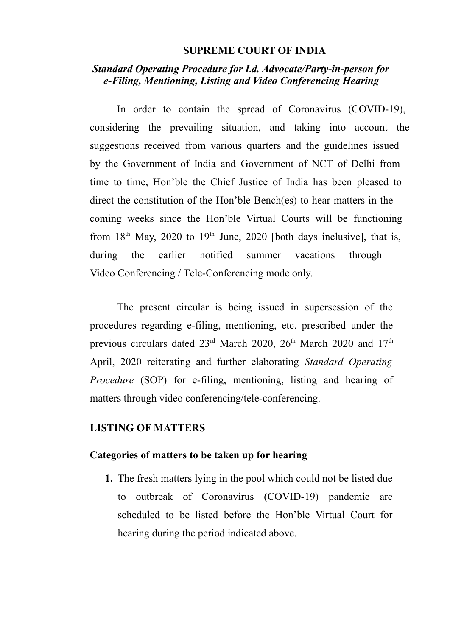#### **SUPREME COURT OF INDIA**

# *Standard Operating Procedure for Ld. Advocate/Party-in-person for e-Filing, Mentioning, Listing and Video Conferencing Hearing*

In order to contain the spread of Coronavirus (COVID-19), considering the prevailing situation, and taking into account the suggestions received from various quarters and the guidelines issued by the Government of India and Government of NCT of Delhi from time to time, Hon'ble the Chief Justice of India has been pleased to direct the constitution of the Hon'ble Bench(es) to hear matters in the coming weeks since the Hon'ble Virtual Courts will be functioning from  $18<sup>th</sup>$  May, 2020 to  $19<sup>th</sup>$  June, 2020 [both days inclusive], that is, during the earlier notified summer vacations through Video Conferencing / Tele-Conferencing mode only.

The present circular is being issued in supersession of the procedures regarding e-filing, mentioning, etc. prescribed under the previous circulars dated  $23<sup>rd</sup>$  March  $2020$ ,  $26<sup>th</sup>$  March  $2020$  and  $17<sup>th</sup>$ April, 2020 reiterating and further elaborating *Standard Operating Procedure* (SOP) for e-filing, mentioning, listing and hearing of matters through video conferencing/tele-conferencing.

### **LISTING OF MATTERS**

#### **Categories of matters to be taken up for hearing**

**1.** The fresh matters lying in the pool which could not be listed due to outbreak of Coronavirus (COVID-19) pandemic are scheduled to be listed before the Hon'ble Virtual Court for hearing during the period indicated above.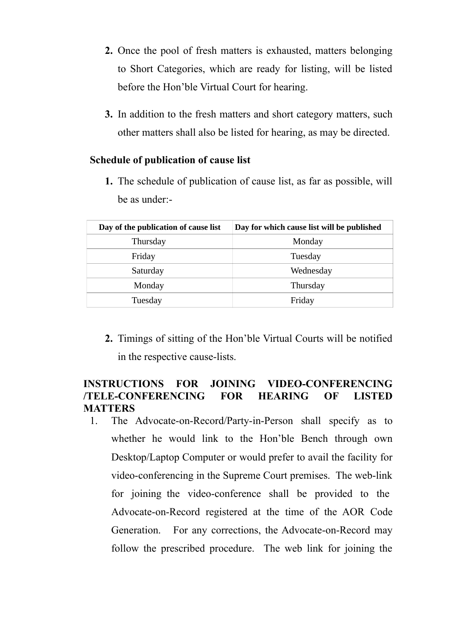- **2.** Once the pool of fresh matters is exhausted, matters belonging to Short Categories, which are ready for listing, will be listed before the Hon'ble Virtual Court for hearing.
- **3.** In addition to the fresh matters and short category matters, such other matters shall also be listed for hearing, as may be directed.

### **Schedule of publication of cause list**

**1.** The schedule of publication of cause list, as far as possible, will be as under:-

|  | Day of the publication of cause list | Day for which cause list will be published |
|--|--------------------------------------|--------------------------------------------|
|  | Thursday                             | Monday                                     |
|  | Friday                               | Tuesday                                    |
|  | Saturday                             | Wednesday                                  |
|  | Monday                               | Thursday                                   |
|  | Tuesday                              | Friday                                     |
|  |                                      |                                            |

**2.** Timings of sitting of the Hon'ble Virtual Courts will be notified in the respective cause-lists.

## **INSTRUCTIONS FOR JOINING VIDEO-CONFERENCING /TELE-CONFERENCING FOR HEARING OF LISTED MATTERS**

1. The Advocate-on-Record/Party-in-Person shall specify as to whether he would link to the Hon'ble Bench through own Desktop/Laptop Computer or would prefer to avail the facility for video-conferencing in the Supreme Court premises. The web-link for joining the video-conference shall be provided to the Advocate-on-Record registered at the time of the AOR Code Generation. For any corrections, the Advocate-on-Record may follow the prescribed procedure. The web link for joining the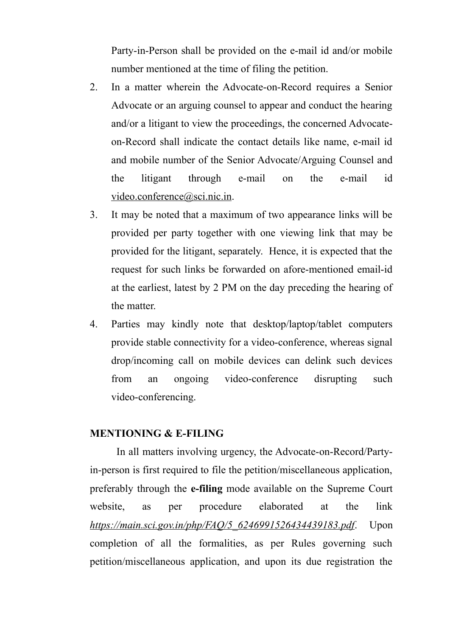Party-in-Person shall be provided on the e-mail id and/or mobile number mentioned at the time of filing the petition.

- 2. In a matter wherein the Advocate-on-Record requires a Senior Advocate or an arguing counsel to appear and conduct the hearing and/or a litigant to view the proceedings, the concerned Advocateon-Record shall indicate the contact details like name, e-mail id and mobile number of the Senior Advocate/Arguing Counsel and the litigant through e-mail on the e-mail id [video.conference@sci.nic.in.](mailto:vc.sci@sci.nic.in)
- 3. It may be noted that a maximum of two appearance links will be provided per party together with one viewing link that may be provided for the litigant, separately. Hence, it is expected that the request for such links be forwarded on afore-mentioned email-id at the earliest, latest by 2 PM on the day preceding the hearing of the matter.
- 4. Parties may kindly note that desktop/laptop/tablet computers provide stable connectivity for a video-conference, whereas signal drop/incoming call on mobile devices can delink such devices from an ongoing video-conference disrupting such video-conferencing.

#### **MENTIONING & E-FILING**

In all matters involving urgency, the Advocate-on-Record/Partyin-person is first required to file the petition/miscellaneous application, preferably through the **e-filing** mode available on the Supreme Court website, as per procedure elaborated at the link *[https://main.sci.gov.in/php/FAQ/5\\_6246991526434439183.pdf](https://main.sci.gov.in/php/FAQ/5_6246991526434439183.pdf)*. Upon completion of all the formalities, as per Rules governing such petition/miscellaneous application, and upon its due registration the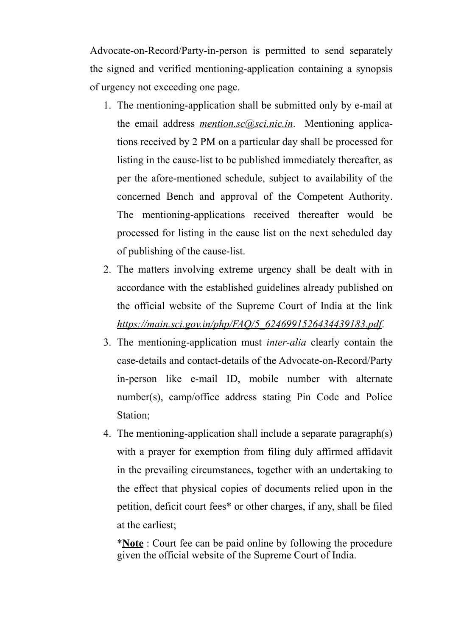Advocate-on-Record/Party-in-person is permitted to send separately the signed and verified mentioning-application containing a synopsis of urgency not exceeding one page.

- 1. The mentioning-application shall be submitted only by e-mail at the email address *[mention.sc@sci.nic.in](mailto:mention.sc@sci.nic.in)*. Mentioning applications received by 2 PM on a particular day shall be processed for listing in the cause-list to be published immediately thereafter, as per the afore-mentioned schedule, subject to availability of the concerned Bench and approval of the Competent Authority. The mentioning-applications received thereafter would be processed for listing in the cause list on the next scheduled day of publishing of the cause-list.
- 2. The matters involving extreme urgency shall be dealt with in accordance with the established guidelines already published on the official website of the Supreme Court of India at the link *[https://main.sci.gov.in/php/FAQ/5\\_6246991526434439183.pdf](https://main.sci.gov.in/php/FAQ/5_6246991526434439183.pdf)*.
- 3. The mentioning-application must *inter-alia* clearly contain the case-details and contact-details of the Advocate-on-Record/Party in-person like e-mail ID, mobile number with alternate number(s), camp/office address stating Pin Code and Police Station;
- 4. The mentioning-application shall include a separate paragraph(s) with a prayer for exemption from filing duly affirmed affidavit in the prevailing circumstances, together with an undertaking to the effect that physical copies of documents relied upon in the petition, deficit court fees\* or other charges, if any, shall be filed at the earliest;

\***Note** : Court fee can be paid online by following the procedure given the official website of the Supreme Court of India.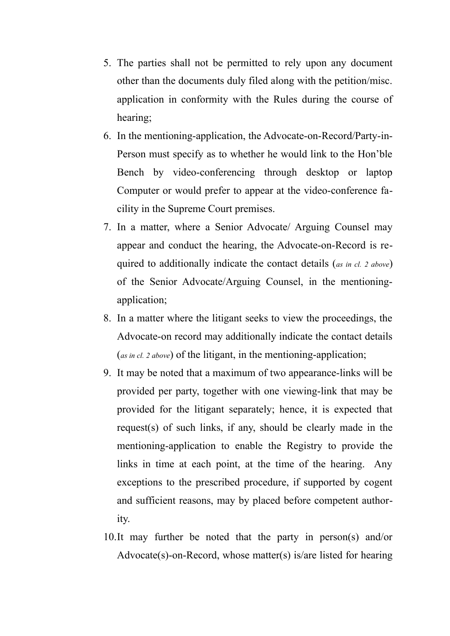- 5. The parties shall not be permitted to rely upon any document other than the documents duly filed along with the petition/misc. application in conformity with the Rules during the course of hearing;
- 6. In the mentioning-application, the Advocate-on-Record/Party-in-Person must specify as to whether he would link to the Hon'ble Bench by video-conferencing through desktop or laptop Computer or would prefer to appear at the video-conference facility in the Supreme Court premises.
- 7. In a matter, where a Senior Advocate/ Arguing Counsel may appear and conduct the hearing, the Advocate-on-Record is required to additionally indicate the contact details (*as in cl. 2 above*) of the Senior Advocate/Arguing Counsel, in the mentioningapplication;
- 8. In a matter where the litigant seeks to view the proceedings, the Advocate-on record may additionally indicate the contact details (*as in cl. 2 above*) of the litigant, in the mentioning-application;
- 9. It may be noted that a maximum of two appearance-links will be provided per party, together with one viewing-link that may be provided for the litigant separately; hence, it is expected that request(s) of such links, if any, should be clearly made in the mentioning-application to enable the Registry to provide the links in time at each point, at the time of the hearing. Any exceptions to the prescribed procedure, if supported by cogent and sufficient reasons, may by placed before competent authority.
- 10.It may further be noted that the party in person(s) and/or Advocate(s)-on-Record, whose matter(s) is/are listed for hearing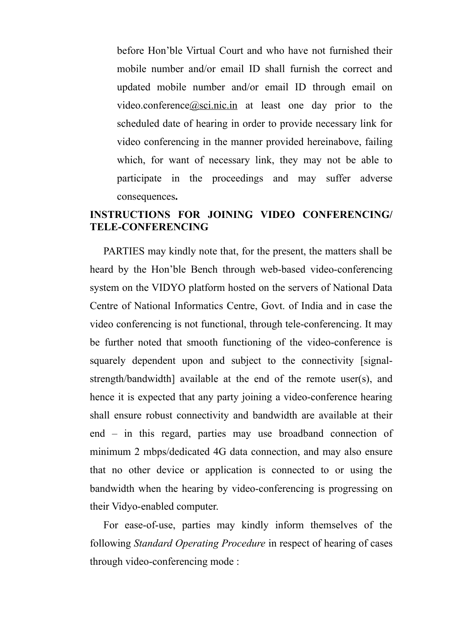before Hon'ble Virtual Court and who have not furnished their mobile number and/or email ID shall furnish the correct and updated mobile number and/or email ID through email on video.conference $\omega$ sci.nic.in at least one day prior to the scheduled date of hearing in order to provide necessary link for video conferencing in the manner provided hereinabove, failing which, for want of necessary link, they may not be able to participate in the proceedings and may suffer adverse consequences**.**

# **INSTRUCTIONS FOR JOINING VIDEO CONFERENCING/ TELE-CONFERENCING**

PARTIES may kindly note that, for the present, the matters shall be heard by the Hon'ble Bench through web-based video-conferencing system on the VIDYO platform hosted on the servers of National Data Centre of National Informatics Centre, Govt. of India and in case the video conferencing is not functional, through tele-conferencing. It may be further noted that smooth functioning of the video-conference is squarely dependent upon and subject to the connectivity [signalstrength/bandwidth] available at the end of the remote user(s), and hence it is expected that any party joining a video-conference hearing shall ensure robust connectivity and bandwidth are available at their end – in this regard, parties may use broadband connection of minimum 2 mbps/dedicated 4G data connection, and may also ensure that no other device or application is connected to or using the bandwidth when the hearing by video-conferencing is progressing on their Vidyo-enabled computer.

For ease-of-use, parties may kindly inform themselves of the following *Standard Operating Procedure* in respect of hearing of cases through video-conferencing mode :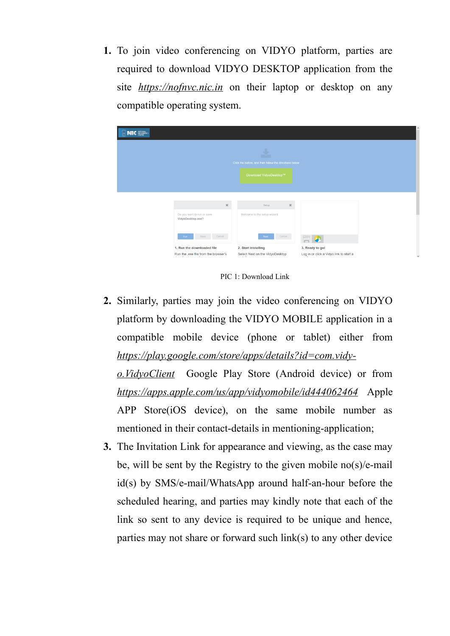**1.** To join video conferencing on VIDYO platform, parties are required to download VIDYO DESKTOP application from the site *[https://nofnvc.nic.in](http://ecourtvc.nic.in/)* on their laptop or desktop on any compatible operating system.



PIC 1: Download Link

**2.** Similarly, parties may join the video conferencing on VIDYO platform by downloading the VIDYO MOBILE application in a compatible mobile device (phone or tablet) either from *[https://play.google.com/store/apps/details?id=com.vidy](https://play.google.com/store/apps/details?id=com.vidyo.VidyoClient)[o.VidyoClient](https://play.google.com/store/apps/details?id=com.vidyo.VidyoClient)* Google Play Store (Android device) or from

*<https://apps.apple.com/us/app/vidyomobile/id444062464>* Apple APP Store(iOS device), on the same mobile number as mentioned in their contact-details in mentioning-application;

**3.** The Invitation Link for appearance and viewing, as the case may be, will be sent by the Registry to the given mobile no(s)/e-mail id(s) by SMS/e-mail/WhatsApp around half-an-hour before the scheduled hearing, and parties may kindly note that each of the link so sent to any device is required to be unique and hence, parties may not share or forward such link(s) to any other device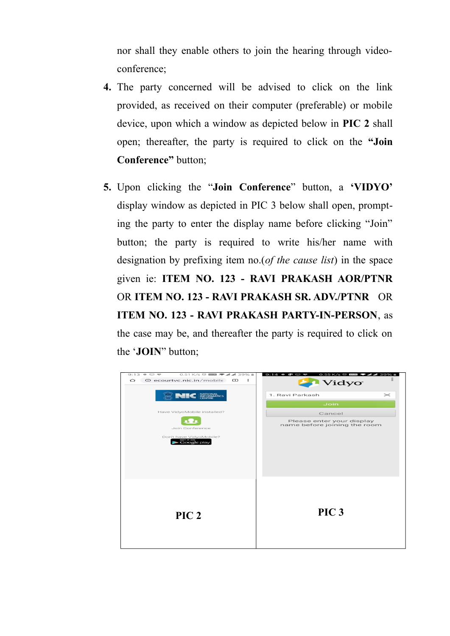nor shall they enable others to join the hearing through videoconference;

- **4.** The party concerned will be advised to click on the link provided, as received on their computer (preferable) or mobile device, upon which a window as depicted below in **PIC 2** shall open; thereafter, the party is required to click on the **"Join Conference"** button;
- **5.** Upon clicking the "**Join Conference**" button, a **'VIDYO'** display window as depicted in PIC 3 below shall open, prompting the party to enter the display name before clicking "Join" button; the party is required to write his/her name with designation by prefixing item no.(*of the cause list*) in the space given ie: **ITEM NO. 123 - RAVI PRAKASH AOR/PTNR** OR **ITEM NO. 123 - RAVI PRAKASH SR. ADV./PTNR** OR **ITEM NO. 123 - RAVI PRAKASH PARTY-IN-PERSON**, as the case may be, and thereafter the party is required to click on the '**JOIN**" button;

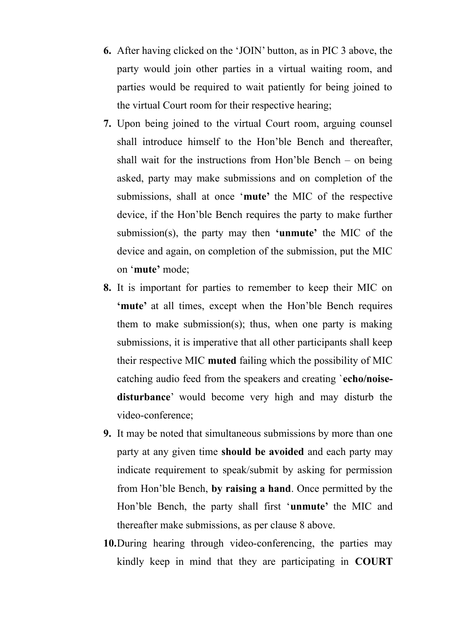- **6.** After having clicked on the 'JOIN' button, as in PIC 3 above, the party would join other parties in a virtual waiting room, and parties would be required to wait patiently for being joined to the virtual Court room for their respective hearing;
- **7.** Upon being joined to the virtual Court room, arguing counsel shall introduce himself to the Hon'ble Bench and thereafter, shall wait for the instructions from Hon'ble Bench – on being asked, party may make submissions and on completion of the submissions, shall at once '**mute'** the MIC of the respective device, if the Hon'ble Bench requires the party to make further submission(s), the party may then **'unmute'** the MIC of the device and again, on completion of the submission, put the MIC on '**mute'** mode;
- **8.** It is important for parties to remember to keep their MIC on **'mute'** at all times, except when the Hon'ble Bench requires them to make submission(s); thus, when one party is making submissions, it is imperative that all other participants shall keep their respective MIC **muted** failing which the possibility of MIC catching audio feed from the speakers and creating `**echo/noisedisturbance**' would become very high and may disturb the video-conference;
- **9.** It may be noted that simultaneous submissions by more than one party at any given time **should be avoided** and each party may indicate requirement to speak/submit by asking for permission from Hon'ble Bench, **by raising a hand**. Once permitted by the Hon'ble Bench, the party shall first '**unmute'** the MIC and thereafter make submissions, as per clause 8 above.
- **10.**During hearing through video-conferencing, the parties may kindly keep in mind that they are participating in **COURT**